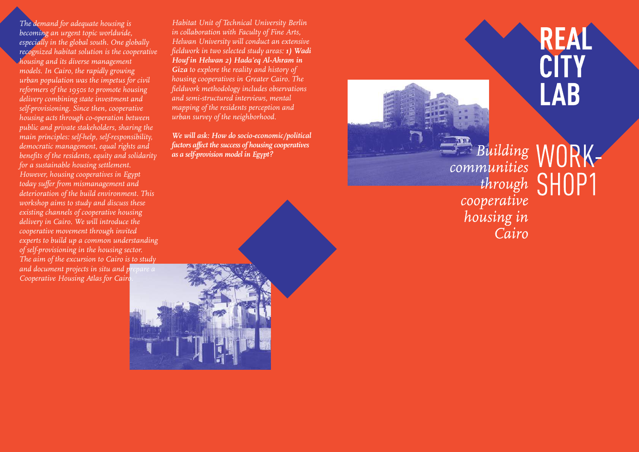*The demand for adequate housing is becoming an urgent topic worldwide, especially in the global south. One globally recognized habitat solution is the cooperative housing and its diverse management models. In Cairo, the rapidly growing urban population was the impetus for civil reformers of the 1950s to promote housing delivery combining state investment and self-provisioning. Since then, cooperative housing acts through co-operation between public and private stakeholders, sharing the main principles: self-help, self-responsibility, democratic management, equal rights and benefits of the residents, equity and solidarity for a sustainable housing settlement. However, housing cooperatives in Egypt today suffer from mismanagement and deterioration of the build environment. This workshop aims to study and discuss these existing channels of cooperative housing delivery in Cairo. We will introduce the cooperative movement through invited experts to build up a common understanding of self-provisioning in the housing sector. The aim of the excursion to Cairo is to study and document projects in situ and prepare a Cooperative Housing Atlas for Cairo.*

*Habitat Unit of Technical University Berlin in collaboration with Faculty of Fine Arts, Helwan University will conduct an extensive fieldwork in two selected study areas: 1) Wadi Houf in Helwan 2) Hada'eq Al-Ahram in Giza to explore the reality and history of housing cooperatives in Greater Cairo. The fieldwork methodology includes observations and semi-structured interviews, mental mapping of the residents perception and urban survey of the neighborhood.* 

*We will ask: How do socio-economic/political factors affect the success of housing cooperatives as a self-provision model in Egypt?*

Building W communities through SHOP1 cooperative housing in Cairo



**CITY**